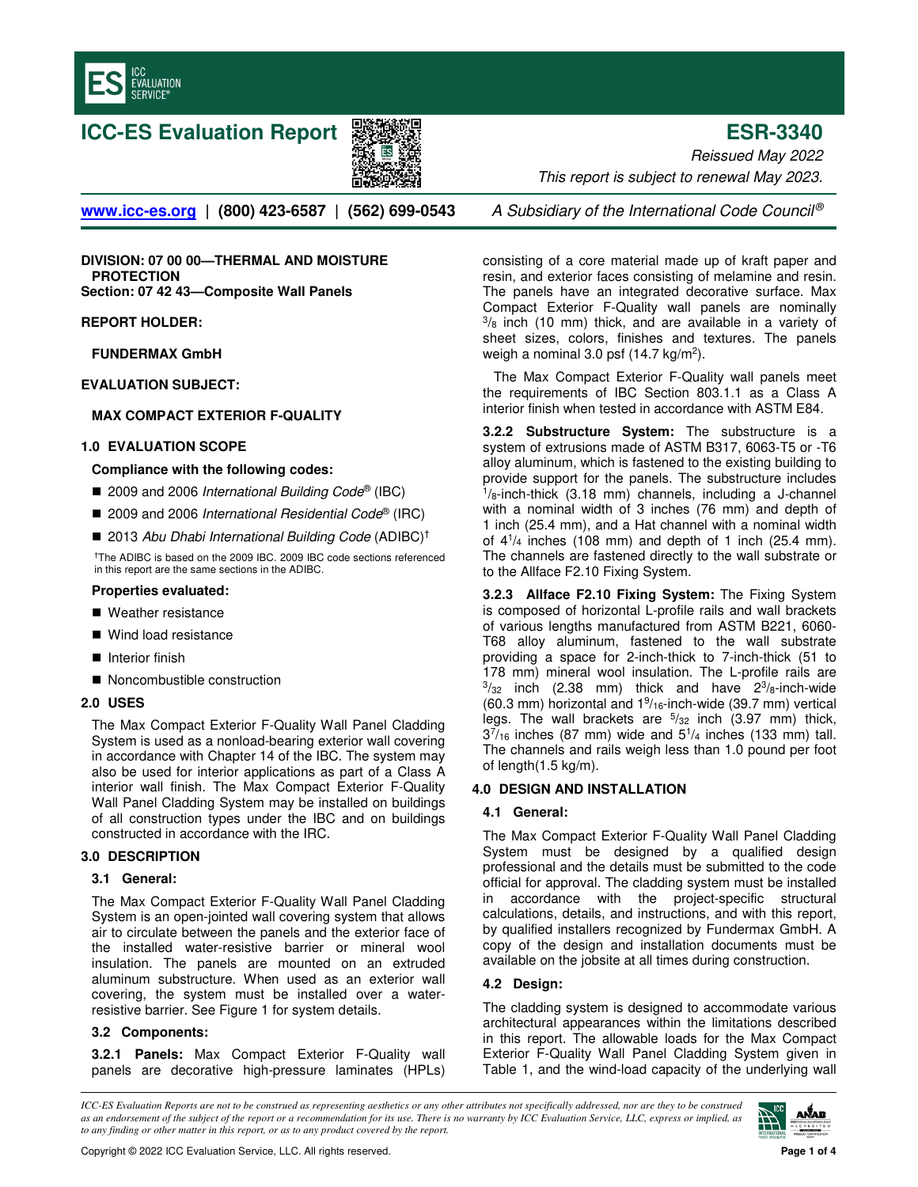

# **ICC-ES Evaluation Report ESR-3340**



Reissued May 2022 This report is subject to renewal May 2023.

**www.icc-es.org** | (800) 423-6587 | (562) 699-0543 A Subsidiary of the International Code Council<sup>®</sup>

**DIVISION: 07 00 00—THERMAL AND MOISTURE PROTECTION Section: 07 42 43—Composite Wall Panels**

**REPORT HOLDER:**

**FUNDERMAX GmbH**

**EVALUATION SUBJECT:**

# **MAX COMPACT EXTERIOR F-QUALITY**

## **1.0 EVALUATION SCOPE**

### **Compliance with the following codes:**

- 2009 and 2006 International Building Code® (IBC)
- 2009 and 2006 International Residential Code® (IRC)
- 2013 Abu Dhabi International Building Code (ADIBC)<sup>†</sup>

†The ADIBC is based on the 2009 IBC. 2009 IBC code sections referenced in this report are the same sections in the ADIBC.

### **Properties evaluated:**

- Weather resistance
- Wind load resistance
- $\blacksquare$  Interior finish
- Noncombustible construction

## **2.0 USES**

The Max Compact Exterior F-Quality Wall Panel Cladding System is used as a nonload-bearing exterior wall covering in accordance with Chapter 14 of the IBC. The system may also be used for interior applications as part of a Class A interior wall finish. The Max Compact Exterior F-Quality Wall Panel Cladding System may be installed on buildings of all construction types under the IBC and on buildings constructed in accordance with the IRC.

### **3.0 DESCRIPTION**

### **3.1 General:**

The Max Compact Exterior F-Quality Wall Panel Cladding System is an open-jointed wall covering system that allows air to circulate between the panels and the exterior face of the installed water-resistive barrier or mineral wool insulation. The panels are mounted on an extruded aluminum substructure. When used as an exterior wall covering, the system must be installed over a waterresistive barrier. See Figure 1 for system details.

# **3.2 Components:**

**3.2.1 Panels:** Max Compact Exterior F-Quality wall panels are decorative high-pressure laminates (HPLs)

consisting of a core material made up of kraft paper and resin, and exterior faces consisting of melamine and resin. The panels have an integrated decorative surface. Max Compact Exterior F-Quality wall panels are nominally  $3/8$  inch (10 mm) thick, and are available in a variety of sheet sizes, colors, finishes and textures. The panels weigh a nominal 3.0 psf  $(14.7 \text{ kg/m}^2)$ .

The Max Compact Exterior F-Quality wall panels meet the requirements of IBC Section 803.1.1 as a Class A interior finish when tested in accordance with ASTM E84.

**3.2.2 Substructure System:** The substructure is a system of extrusions made of ASTM B317, 6063-T5 or -T6 alloy aluminum, which is fastened to the existing building to provide support for the panels. The substructure includes  $1/8$ -inch-thick (3.18 mm) channels, including a J-channel with a nominal width of 3 inches (76 mm) and depth of 1 inch (25.4 mm), and a Hat channel with a nominal width of 4<sup>1</sup> /<sup>4</sup> inches (108 mm) and depth of 1 inch (25.4 mm). The channels are fastened directly to the wall substrate or to the Allface F2.10 Fixing System.

**3.2.3 Allface F2.10 Fixing System:** The Fixing System is composed of horizontal L-profile rails and wall brackets of various lengths manufactured from ASTM B221, 6060- T68 alloy aluminum, fastened to the wall substrate providing a space for 2-inch-thick to 7-inch-thick (51 to 178 mm) mineral wool insulation. The L-profile rails are  $3/32$  inch (2.38 mm) thick and have  $2^3/8$ -inch-wide  $(60.3 \text{ mm})$  horizontal and  $1\frac{9}{16}$ -inch-wide  $(39.7 \text{ mm})$  vertical legs. The wall brackets are  $5/32$  inch (3.97 mm) thick,  $3^{7}/_{16}$  inches (87 mm) wide and  $5^{1}/_{4}$  inches (133 mm) tall. The channels and rails weigh less than 1.0 pound per foot of length(1.5 kg/m).

# **4.0 DESIGN AND INSTALLATION**

# **4.1 General:**

The Max Compact Exterior F-Quality Wall Panel Cladding System must be designed by a qualified design professional and the details must be submitted to the code official for approval. The cladding system must be installed in accordance with the project-specific structural calculations, details, and instructions, and with this report, by qualified installers recognized by Fundermax GmbH. A copy of the design and installation documents must be available on the jobsite at all times during construction.

# **4.2 Design:**

The cladding system is designed to accommodate various architectural appearances within the limitations described in this report. The allowable loads for the Max Compact Exterior F-Quality Wall Panel Cladding System given in Table 1, and the wind-load capacity of the underlying wall

*ICC-ES Evaluation Reports are not to be construed as representing aesthetics or any other attributes not specifically addressed, nor are they to be construed as an endorsement of the subject of the report or a recommendation for its use. There is no warranty by ICC Evaluation Service, LLC, express or implied, as to any finding or other matter in this report, or as to any product covered by the report.*

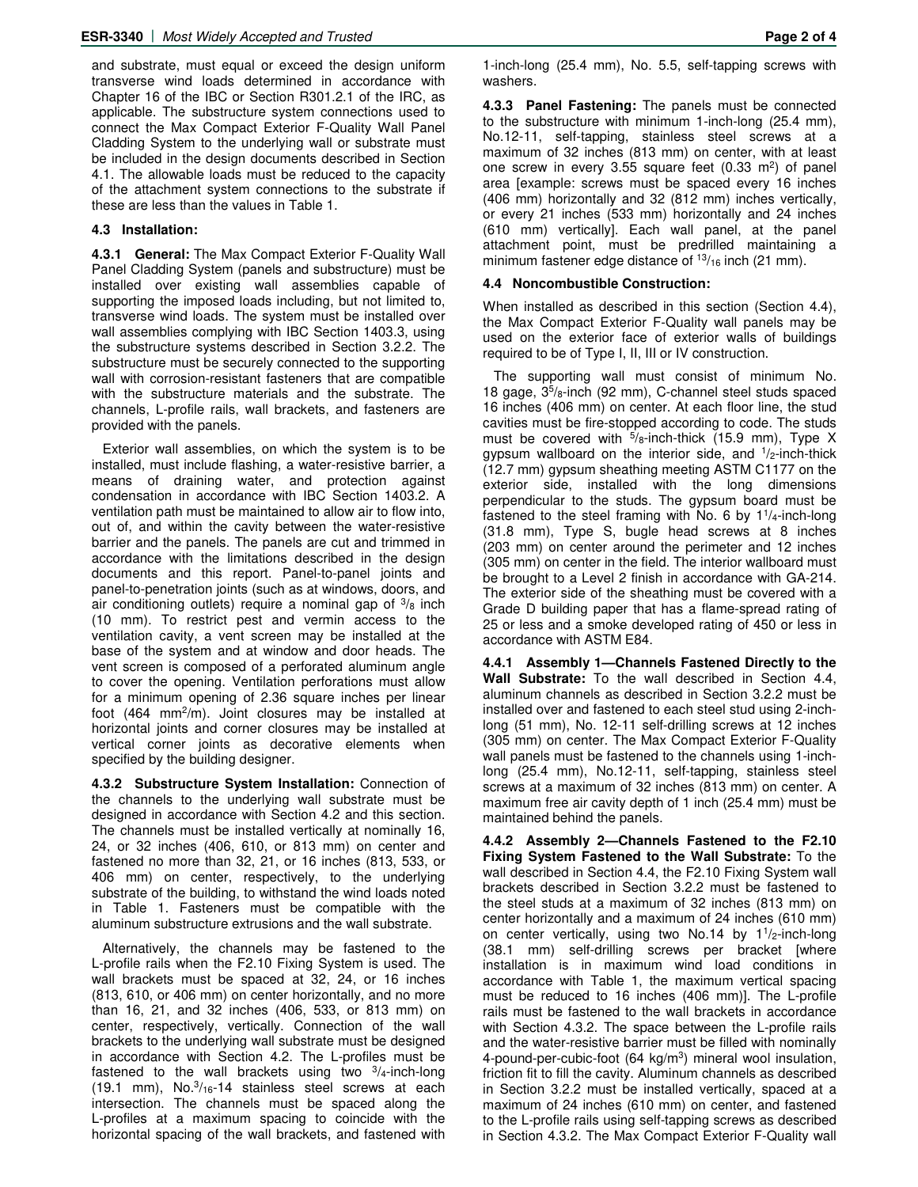and substrate, must equal or exceed the design uniform transverse wind loads determined in accordance with Chapter 16 of the IBC or Section R301.2.1 of the IRC, as applicable. The substructure system connections used to connect the Max Compact Exterior F-Quality Wall Panel Cladding System to the underlying wall or substrate must be included in the design documents described in Section 4.1. The allowable loads must be reduced to the capacity of the attachment system connections to the substrate if these are less than the values in Table 1.

### **4.3 Installation:**

**4.3.1 General:** The Max Compact Exterior F-Quality Wall Panel Cladding System (panels and substructure) must be installed over existing wall assemblies capable of supporting the imposed loads including, but not limited to, transverse wind loads. The system must be installed over wall assemblies complying with IBC Section 1403.3, using the substructure systems described in Section 3.2.2. The substructure must be securely connected to the supporting wall with corrosion-resistant fasteners that are compatible with the substructure materials and the substrate. The channels, L-profile rails, wall brackets, and fasteners are provided with the panels.

Exterior wall assemblies, on which the system is to be installed, must include flashing, a water-resistive barrier, a means of draining water, and protection against condensation in accordance with IBC Section 1403.2. A ventilation path must be maintained to allow air to flow into, out of, and within the cavity between the water-resistive barrier and the panels. The panels are cut and trimmed in accordance with the limitations described in the design documents and this report. Panel-to-panel joints and panel-to-penetration joints (such as at windows, doors, and air conditioning outlets) require a nominal gap of  $\frac{3}{8}$  inch (10 mm). To restrict pest and vermin access to the ventilation cavity, a vent screen may be installed at the base of the system and at window and door heads. The vent screen is composed of a perforated aluminum angle to cover the opening. Ventilation perforations must allow for a minimum opening of 2.36 square inches per linear foot (464 mm<sup>2</sup>/m). Joint closures may be installed at horizontal joints and corner closures may be installed at vertical corner joints as decorative elements when specified by the building designer.

**4.3.2 Substructure System Installation:** Connection of the channels to the underlying wall substrate must be designed in accordance with Section 4.2 and this section. The channels must be installed vertically at nominally 16, 24, or 32 inches (406, 610, or 813 mm) on center and fastened no more than 32, 21, or 16 inches (813, 533, or 406 mm) on center, respectively, to the underlying substrate of the building, to withstand the wind loads noted in Table 1. Fasteners must be compatible with the aluminum substructure extrusions and the wall substrate.

Alternatively, the channels may be fastened to the L-profile rails when the F2.10 Fixing System is used. The wall brackets must be spaced at 32, 24, or 16 inches (813, 610, or 406 mm) on center horizontally, and no more than 16, 21, and 32 inches (406, 533, or 813 mm) on center, respectively, vertically. Connection of the wall brackets to the underlying wall substrate must be designed in accordance with Section 4.2. The L-profiles must be fastened to the wall brackets using two  $3/4$ -inch-long  $(19.1 \text{ mm})$ , No. $\frac{3}{16}$ -14 stainless steel screws at each intersection. The channels must be spaced along the L-profiles at a maximum spacing to coincide with the horizontal spacing of the wall brackets, and fastened with

1-inch-long (25.4 mm), No. 5.5, self-tapping screws with washers.

**4.3.3 Panel Fastening:** The panels must be connected to the substructure with minimum 1-inch-long (25.4 mm), No.12-11, self-tapping, stainless steel screws at a maximum of 32 inches (813 mm) on center, with at least one screw in every 3.55 square feet  $(0.33 \text{ m}^2)$  of panel area [example: screws must be spaced every 16 inches (406 mm) horizontally and 32 (812 mm) inches vertically, or every 21 inches (533 mm) horizontally and 24 inches (610 mm) vertically]. Each wall panel, at the panel attachment point, must be predrilled maintaining a minimum fastener edge distance of  $\frac{13}{16}$  inch (21 mm).

## **4.4 Noncombustible Construction:**

When installed as described in this section (Section 4.4), the Max Compact Exterior F-Quality wall panels may be used on the exterior face of exterior walls of buildings required to be of Type I, II, III or IV construction.

The supporting wall must consist of minimum No. 18 gage, 3<sup>5</sup> /8-inch (92 mm), C-channel steel studs spaced 16 inches (406 mm) on center. At each floor line, the stud cavities must be fire-stopped according to code. The studs must be covered with  $5/8$ -inch-thick (15.9 mm), Type X gypsum wallboard on the interior side, and <sup>1</sup>/<sub>2</sub>-inch-thick (12.7 mm) gypsum sheathing meeting ASTM C1177 on the exterior side, installed with the long dimensions perpendicular to the studs. The gypsum board must be fastened to the steel framing with No. 6 by  $1\frac{1}{4}$ -inch-long (31.8 mm), Type S, bugle head screws at 8 inches (203 mm) on center around the perimeter and 12 inches (305 mm) on center in the field. The interior wallboard must be brought to a Level 2 finish in accordance with GA-214. The exterior side of the sheathing must be covered with a Grade D building paper that has a flame-spread rating of 25 or less and a smoke developed rating of 450 or less in accordance with ASTM E84.

**4.4.1 Assembly 1—Channels Fastened Directly to the Wall Substrate:** To the wall described in Section 4.4, aluminum channels as described in Section 3.2.2 must be installed over and fastened to each steel stud using 2-inchlong (51 mm), No. 12-11 self-drilling screws at 12 inches (305 mm) on center. The Max Compact Exterior F-Quality wall panels must be fastened to the channels using 1-inchlong (25.4 mm), No.12-11, self-tapping, stainless steel screws at a maximum of 32 inches (813 mm) on center. A maximum free air cavity depth of 1 inch (25.4 mm) must be maintained behind the panels.

**4.4.2 Assembly 2—Channels Fastened to the F2.10 Fixing System Fastened to the Wall Substrate:** To the wall described in Section 4.4, the F2.10 Fixing System wall brackets described in Section 3.2.2 must be fastened to the steel studs at a maximum of 32 inches (813 mm) on center horizontally and a maximum of 24 inches (610 mm) on center vertically, using two No.14 by 1<sup>1</sup>/<sub>2</sub>-inch-long (38.1 mm) self-drilling screws per bracket [where installation is in maximum wind load conditions in accordance with Table 1, the maximum vertical spacing must be reduced to 16 inches (406 mm)]. The L-profile rails must be fastened to the wall brackets in accordance with Section 4.3.2. The space between the L-profile rails and the water-resistive barrier must be filled with nominally 4-pound-per-cubic-foot (64 kg/m<sup>3</sup>) mineral wool insulation, friction fit to fill the cavity. Aluminum channels as described in Section 3.2.2 must be installed vertically, spaced at a maximum of 24 inches (610 mm) on center, and fastened to the L-profile rails using self-tapping screws as described in Section 4.3.2. The Max Compact Exterior F-Quality wall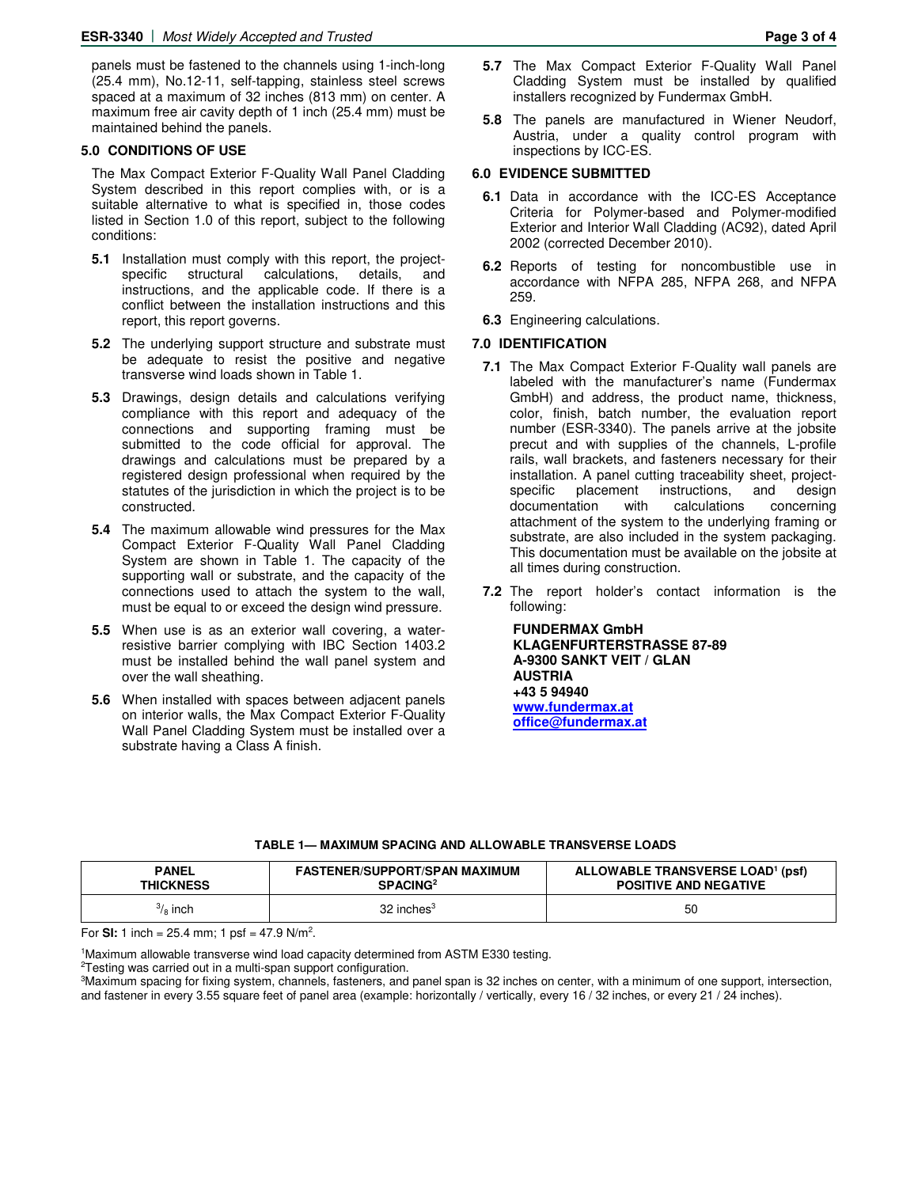panels must be fastened to the channels using 1-inch-long (25.4 mm), No.12-11, self-tapping, stainless steel screws spaced at a maximum of 32 inches (813 mm) on center. A maximum free air cavity depth of 1 inch (25.4 mm) must be maintained behind the panels.

#### **5.0 CONDITIONS OF USE**

The Max Compact Exterior F-Quality Wall Panel Cladding System described in this report complies with, or is a suitable alternative to what is specified in, those codes listed in Section 1.0 of this report, subject to the following conditions:

- **5.1** Installation must comply with this report, the project-<br>specific structural calculations, details, and specific structural calculations, details, and instructions, and the applicable code. If there is a conflict between the installation instructions and this report, this report governs.
- **5.2** The underlying support structure and substrate must be adequate to resist the positive and negative transverse wind loads shown in Table 1.
- **5.3** Drawings, design details and calculations verifying compliance with this report and adequacy of the connections and supporting framing must be submitted to the code official for approval. The drawings and calculations must be prepared by a registered design professional when required by the statutes of the jurisdiction in which the project is to be constructed.
- **5.4** The maximum allowable wind pressures for the Max Compact Exterior F-Quality Wall Panel Cladding System are shown in Table 1. The capacity of the supporting wall or substrate, and the capacity of the connections used to attach the system to the wall, must be equal to or exceed the design wind pressure.
- **5.5** When use is as an exterior wall covering, a waterresistive barrier complying with IBC Section 1403.2 must be installed behind the wall panel system and over the wall sheathing.
- **5.6** When installed with spaces between adjacent panels on interior walls, the Max Compact Exterior F-Quality Wall Panel Cladding System must be installed over a substrate having a Class A finish.
- **5.7** The Max Compact Exterior F-Quality Wall Panel Cladding System must be installed by qualified installers recognized by Fundermax GmbH.
- **5.8** The panels are manufactured in Wiener Neudorf, Austria, under a quality control program with inspections by ICC-ES.

#### **6.0 EVIDENCE SUBMITTED**

- **6.1** Data in accordance with the ICC-ES Acceptance Criteria for Polymer-based and Polymer-modified Exterior and Interior Wall Cladding (AC92), dated April 2002 (corrected December 2010).
- **6.2** Reports of testing for noncombustible use in accordance with NFPA 285, NFPA 268, and NFPA 259.
- **6.3** Engineering calculations.

#### **7.0 IDENTIFICATION**

- **7.1** The Max Compact Exterior F-Quality wall panels are labeled with the manufacturer's name (Fundermax GmbH) and address, the product name, thickness, color, finish, batch number, the evaluation report number (ESR-3340). The panels arrive at the jobsite precut and with supplies of the channels, L-profile rails, wall brackets, and fasteners necessary for their installation. A panel cutting traceability sheet, projectspecific placement instructions, and design documentation with calculations concerning attachment of the system to the underlying framing or substrate, are also included in the system packaging. This documentation must be available on the jobsite at all times during construction.
- **7.2** The report holder's contact information is the following:

**FUNDERMAX GmbH KLAGENFURTERSTRASSE 87-89 A-9300 SANKT VEIT / GLAN AUSTRIA +43 5 94940 [www.fundermax.at](http://www.fundermax.at/) [office@fundermax.at](mailto:office@fundermax.at)**

#### **TABLE 1— MAXIMUM SPACING AND ALLOWABLE TRANSVERSE LOADS**

| <b>PANEL</b>       | <b>FASTENER/SUPPORT/SPAN MAXIMUM</b> | ALLOWABLE TRANSVERSE LOAD <sup>1</sup> (psf) |
|--------------------|--------------------------------------|----------------------------------------------|
| <b>THICKNESS</b>   | SPACING <sup>2</sup>                 | <b>POSITIVE AND NEGATIVE</b>                 |
| $\frac{3}{8}$ inch | $32$ inches <sup>3</sup>             | 50                                           |

For **SI:** 1 inch = 25.4 mm; 1 psf = 47.9  $N/m^2$ .

<sup>1</sup>Maximum allowable transverse wind load capacity determined from ASTM E330 testing.

<sup>2</sup>Testing was carried out in a multi-span support configuration.

<sup>3</sup>Maximum spacing for fixing system, channels, fasteners, and panel span is 32 inches on center, with a minimum of one support, intersection, and fastener in every 3.55 square feet of panel area (example: horizontally / vertically, every 16 / 32 inches, or every 21 / 24 inches).